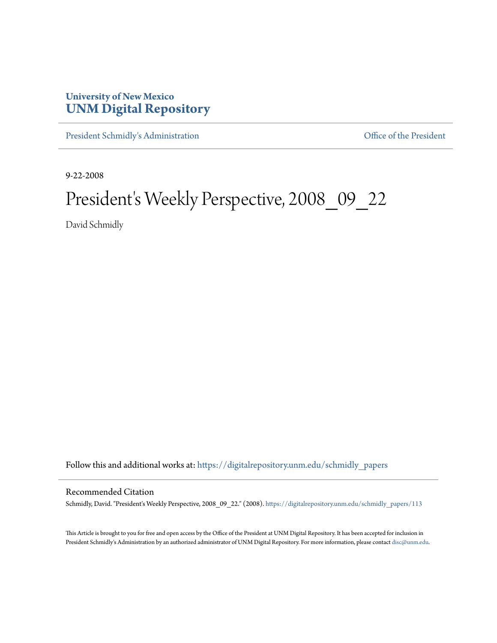## **University of New Mexico [UNM Digital Repository](https://digitalrepository.unm.edu?utm_source=digitalrepository.unm.edu%2Fschmidly_papers%2F113&utm_medium=PDF&utm_campaign=PDFCoverPages)**

[President Schmidly's Administration](https://digitalrepository.unm.edu/schmidly_papers?utm_source=digitalrepository.unm.edu%2Fschmidly_papers%2F113&utm_medium=PDF&utm_campaign=PDFCoverPages) [Office of the President](https://digitalrepository.unm.edu/ofc_president?utm_source=digitalrepository.unm.edu%2Fschmidly_papers%2F113&utm_medium=PDF&utm_campaign=PDFCoverPages)

9-22-2008

## President's Weekly Perspective, 2008\_09\_22

David Schmidly

Follow this and additional works at: [https://digitalrepository.unm.edu/schmidly\\_papers](https://digitalrepository.unm.edu/schmidly_papers?utm_source=digitalrepository.unm.edu%2Fschmidly_papers%2F113&utm_medium=PDF&utm_campaign=PDFCoverPages)

## Recommended Citation

Schmidly, David. "President's Weekly Perspective, 2008\_09\_22." (2008). [https://digitalrepository.unm.edu/schmidly\\_papers/113](https://digitalrepository.unm.edu/schmidly_papers/113?utm_source=digitalrepository.unm.edu%2Fschmidly_papers%2F113&utm_medium=PDF&utm_campaign=PDFCoverPages)

This Article is brought to you for free and open access by the Office of the President at UNM Digital Repository. It has been accepted for inclusion in President Schmidly's Administration by an authorized administrator of UNM Digital Repository. For more information, please contact [disc@unm.edu](mailto:disc@unm.edu).